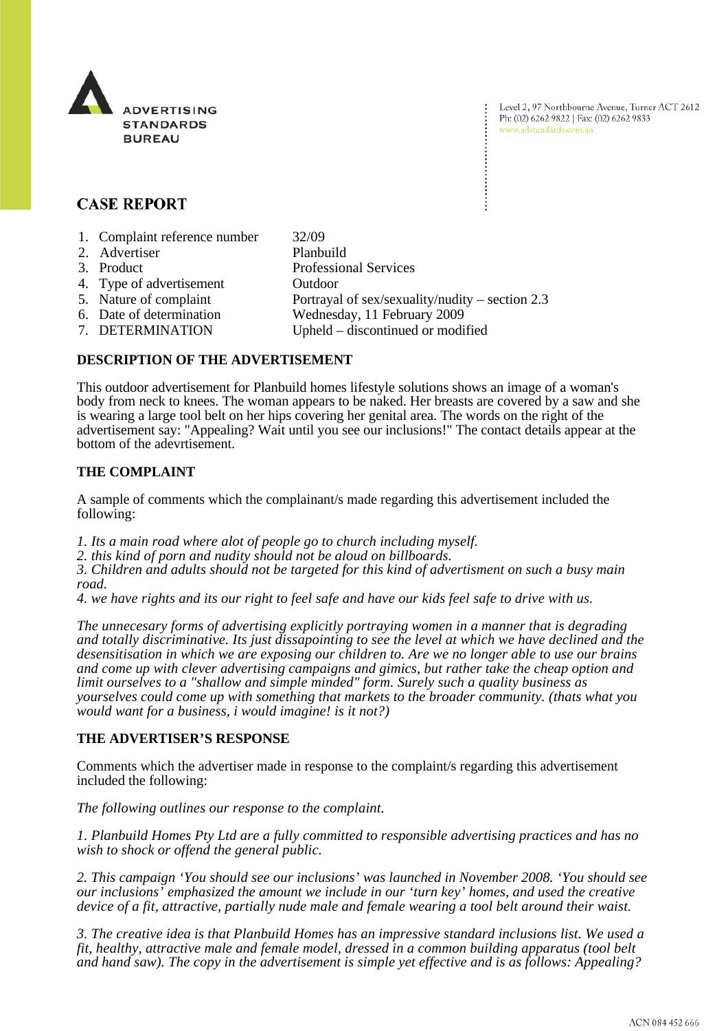

Level 2, 97 Northbourne Avenue, Turner ACT 2612 Ph: (02) 6262 9822 | Fax: (02) 6262 9833 www.adstandards.com.au

# **CASE REPORT**

| 1. Complaint reference number | 32/09                                             |
|-------------------------------|---------------------------------------------------|
| 2. Advertiser                 | Planbuild                                         |
| 3. Product                    | <b>Professional Services</b>                      |
| 4. Type of advertisement      | Outdoor                                           |
| 5. Nature of complaint        | Portrayal of sex/sexuality/nudity – section $2.3$ |
| 6. Date of determination      | Wednesday, 11 February 2009                       |
| 7. DETERMINATION              | Upheld – discontinued or modified                 |
|                               |                                                   |

### **DESCRIPTION OF THE ADVERTISEMENT**

This outdoor advertisement for Planbuild homes lifestyle solutions shows an image of a woman's body from neck to knees. The woman appears to be naked. Her breasts are covered by a saw and she is wearing a large tool belt on her hips covering her genital area. The words on the right of the advertisement say: "Appealing? Wait until you see our inclusions!" The contact details appear at the bottom of the adevrtisement.

## **THE COMPLAINT**

A sample of comments which the complainant/s made regarding this advertisement included the following:

*1. Its a main road where alot of people go to church including myself.*

*2. this kind of porn and nudity should not be aloud on billboards.*

*3. Children and adults should not be targeted for this kind of advertisment on such a busy main road.*

*4. we have rights and its our right to feel safe and have our kids feel safe to drive with us.*

*The unnecesary forms of advertising explicitly portraying women in a manner that is degrading and totally discriminative. Its just dissapointing to see the level at which we have declined and the desensitisation in which we are exposing our children to. Are we no longer able to use our brains and come up with clever advertising campaigns and gimics, but rather take the cheap option and limit ourselves to a "shallow and simple minded" form. Surely such a quality business as yourselves could come up with something that markets to the broader community. (thats what you would want for a business, i would imagine! is it not?)*

### **THE ADVERTISER'S RESPONSE**

Comments which the advertiser made in response to the complaint/s regarding this advertisement included the following:

*The following outlines our response to the complaint.* 

*1. Planbuild Homes Pty Ltd are a fully committed to responsible advertising practices and has no wish to shock or offend the general public.* 

*2. This campaign 'You should see our inclusions' was launched in November 2008. 'You should see our inclusions' emphasized the amount we include in our 'turn key' homes, and used the creative device of a fit, attractive, partially nude male and female wearing a tool belt around their waist.* 

*3. The creative idea is that Planbuild Homes has an impressive standard inclusions list. We used a fit, healthy, attractive male and female model, dressed in a common building apparatus (tool belt and hand saw). The copy in the advertisement is simple yet effective and is as follows: Appealing?*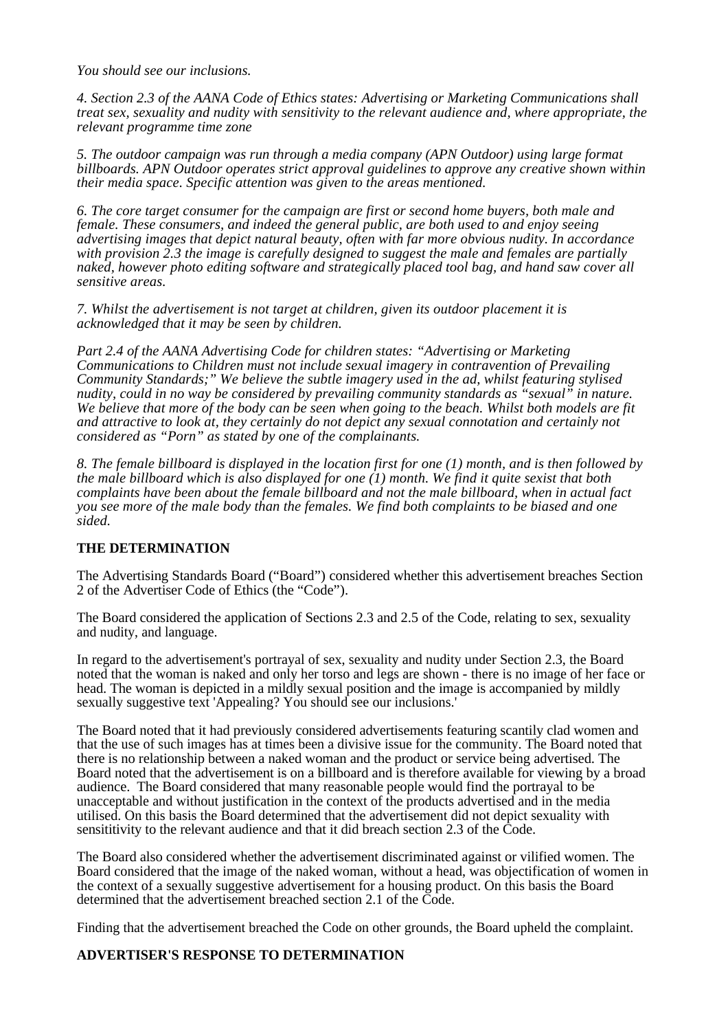*You should see our inclusions.* 

*4. Section 2.3 of the AANA Code of Ethics states: Advertising or Marketing Communications shall treat sex, sexuality and nudity with sensitivity to the relevant audience and, where appropriate, the relevant programme time zone* 

*5. The outdoor campaign was run through a media company (APN Outdoor) using large format billboards. APN Outdoor operates strict approval guidelines to approve any creative shown within their media space. Specific attention was given to the areas mentioned.* 

*6. The core target consumer for the campaign are first or second home buyers, both male and female. These consumers, and indeed the general public, are both used to and enjoy seeing advertising images that depict natural beauty, often with far more obvious nudity. In accordance with provision 2.3 the image is carefully designed to suggest the male and females are partially naked, however photo editing software and strategically placed tool bag, and hand saw cover all sensitive areas.* 

*7. Whilst the advertisement is not target at children, given its outdoor placement it is acknowledged that it may be seen by children.* 

*Part 2.4 of the AANA Advertising Code for children states: "Advertising or Marketing Communications to Children must not include sexual imagery in contravention of Prevailing Community Standards;" We believe the subtle imagery used in the ad, whilst featuring stylised nudity, could in no way be considered by prevailing community standards as "sexual" in nature. We believe that more of the body can be seen when going to the beach. Whilst both models are fit and attractive to look at, they certainly do not depict any sexual connotation and certainly not considered as "Porn" as stated by one of the complainants.* 

*8. The female billboard is displayed in the location first for one (1) month, and is then followed by the male billboard which is also displayed for one (1) month. We find it quite sexist that both complaints have been about the female billboard and not the male billboard, when in actual fact you see more of the male body than the females. We find both complaints to be biased and one sided.* 

### **THE DETERMINATION**

The Advertising Standards Board ("Board") considered whether this advertisement breaches Section 2 of the Advertiser Code of Ethics (the "Code").

The Board considered the application of Sections 2.3 and 2.5 of the Code, relating to sex, sexuality and nudity, and language.

In regard to the advertisement's portrayal of sex, sexuality and nudity under Section 2.3, the Board noted that the woman is naked and only her torso and legs are shown - there is no image of her face or head. The woman is depicted in a mildly sexual position and the image is accompanied by mildly sexually suggestive text 'Appealing? You should see our inclusions.'

The Board noted that it had previously considered advertisements featuring scantily clad women and that the use of such images has at times been a divisive issue for the community. The Board noted that there is no relationship between a naked woman and the product or service being advertised. The Board noted that the advertisement is on a billboard and is therefore available for viewing by a broad audience. The Board considered that many reasonable people would find the portrayal to be unacceptable and without justification in the context of the products advertised and in the media utilised. On this basis the Board determined that the advertisement did not depict sexuality with sensititivity to the relevant audience and that it did breach section 2.3 of the Code.

The Board also considered whether the advertisement discriminated against or vilified women. The Board considered that the image of the naked woman, without a head, was objectification of women in the context of a sexually suggestive advertisement for a housing product. On this basis the Board determined that the advertisement breached section 2.1 of the Code.

Finding that the advertisement breached the Code on other grounds, the Board upheld the complaint.

#### **ADVERTISER'S RESPONSE TO DETERMINATION**